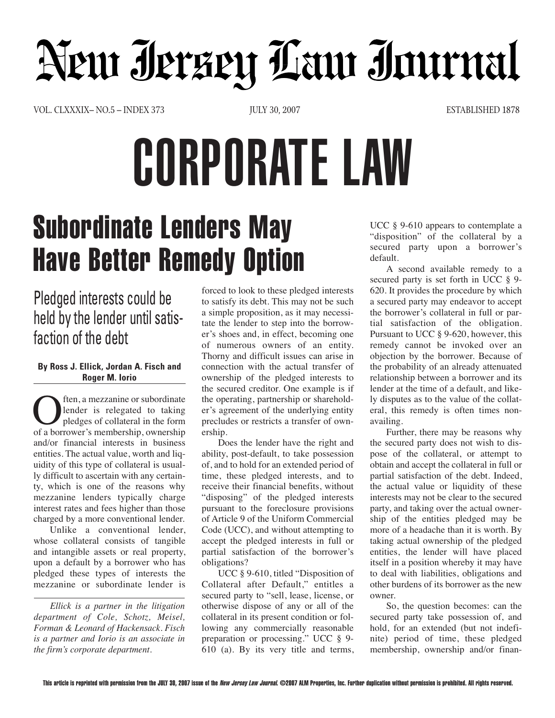## New Jerzey Law Journal

VOL. CLXXXIX– NO.5 – INDEX 373 JULY 30, 2007 JULY 30, 2007 ESTABLISHED 1878

# CORPORATE LAW

## **Subordinate Lenders May Have Better Remedy Option**

### Pledged interests could be held by the lender until satisfaction of the debt

#### **By Ross J. Ellick, Jordan A. Fisch and Roger M. Iorio**

China, a mezzanine or subordinate<br>
lender is relegated to taking<br>
of a borrower's membership, ownership lender is relegated to taking pledges of collateral in the form and/or financial interests in business entities. The actual value, worth and liquidity of this type of collateral is usually difficult to ascertain with any certainty, which is one of the reasons why mezzanine lenders typically charge interest rates and fees higher than those charged by a more conventional lender.

Unlike a conventional lender, whose collateral consists of tangible and intangible assets or real property, upon a default by a borrower who has pledged these types of interests the mezzanine or subordinate lender is

*Ellick is a partner in the litigation department of Cole, Schotz, Meisel, Forman & Leonard of Hackensack. Fisch is a partner and Iorio is an associate in the firm's corporate department.*

forced to look to these pledged interests to satisfy its debt. This may not be such a simple proposition, as it may necessitate the lender to step into the borrower's shoes and, in effect, becoming one of numerous owners of an entity. Thorny and difficult issues can arise in connection with the actual transfer of ownership of the pledged interests to the secured creditor. One example is if the operating, partnership or shareholder's agreement of the underlying entity precludes or restricts a transfer of ownership.

Does the lender have the right and ability, post-default, to take possession of, and to hold for an extended period of time, these pledged interests, and to receive their financial benefits, without "disposing" of the pledged interests pursuant to the foreclosure provisions of Article 9 of the Uniform Commercial Code (UCC), and without attempting to accept the pledged interests in full or partial satisfaction of the borrower's obligations?

UCC § 9-610, titled "Disposition of Collateral after Default," entitles a secured party to "sell, lease, license, or otherwise dispose of any or all of the collateral in its present condition or following any commercially reasonable preparation or processing." UCC § 9- 610 (a). By its very title and terms, UCC § 9-610 appears to contemplate a "disposition" of the collateral by a secured party upon a borrower's default.

A second available remedy to a secured party is set forth in UCC § 9- 620. It provides the procedure by which a secured party may endeavor to accept the borrower's collateral in full or partial satisfaction of the obligation. Pursuant to UCC § 9-620, however, this remedy cannot be invoked over an objection by the borrower. Because of the probability of an already attenuated relationship between a borrower and its lender at the time of a default, and likely disputes as to the value of the collateral, this remedy is often times nonavailing.

Further, there may be reasons why the secured party does not wish to dispose of the collateral, or attempt to obtain and accept the collateral in full or partial satisfaction of the debt. Indeed, the actual value or liquidity of these interests may not be clear to the secured party, and taking over the actual ownership of the entities pledged may be more of a headache than it is worth. By taking actual ownership of the pledged entities, the lender will have placed itself in a position whereby it may have to deal with liabilities, obligations and other burdens of its borrower as the new owner.

So, the question becomes: can the secured party take possession of, and hold, for an extended (but not indefinite) period of time, these pledged membership, ownership and/or finan